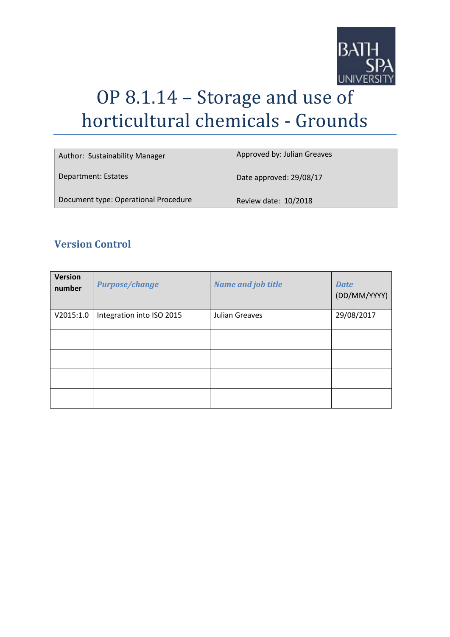

# OP 8.1.14 – Storage and use of horticultural chemicals - Grounds

| Author: Sustainability Manager       | Approved by: Julian Greaves |
|--------------------------------------|-----------------------------|
| Department: Estates                  | Date approved: 29/08/17     |
| Document type: Operational Procedure | Review date: 10/2018        |

# **Version Control**

| <b>Version</b><br>number | <b>Purpose/change</b>     | <b>Name and job title</b> | <b>Date</b><br>(DD/MM/YYYY) |
|--------------------------|---------------------------|---------------------------|-----------------------------|
| V2015:1.0                | Integration into ISO 2015 | Julian Greaves            | 29/08/2017                  |
|                          |                           |                           |                             |
|                          |                           |                           |                             |
|                          |                           |                           |                             |
|                          |                           |                           |                             |